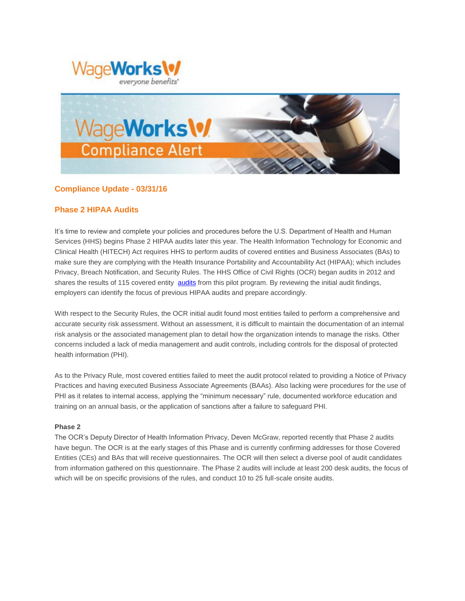



## **Compliance Update - 03/31/16**

### **Phase 2 HIPAA Audits**

It's time to review and complete your policies and procedures before the U.S. Department of Health and Human Services (HHS) begins Phase 2 HIPAA audits later this year. The Health Information Technology for Economic and Clinical Health (HITECH) Act requires HHS to perform audits of covered entities and Business Associates (BAs) to make sure they are complying with the Health Insurance Portability and Accountability Act (HIPAA); which includes Privacy, Breach Notification, and Security Rules. The HHS Office of Civil Rights (OCR) began audits in 2012 and shares the results of 115 covered entity [audits](http://www.hhs.gov/hipaa/for-professionals/compliance-enforcement/audit/pilot-program/index.html?elqTrackId=EB2B1404E34D591ECD4D7121A69C0F3A&elq=b517e2493eb94afdb887b186a34fccd1&elqaid=465&elqat=1&elqCampaignId=) from this pilot program. By reviewing the initial audit findings, employers can identify the focus of previous HIPAA audits and prepare accordingly.

With respect to the Security Rules, the OCR initial audit found most entities failed to perform a comprehensive and accurate security risk assessment. Without an assessment, it is difficult to maintain the documentation of an internal risk analysis or the associated management plan to detail how the organization intends to manage the risks. Other concerns included a lack of media management and audit controls, including controls for the disposal of protected health information (PHI).

As to the Privacy Rule, most covered entities failed to meet the audit protocol related to providing a Notice of Privacy Practices and having executed Business Associate Agreements (BAAs). Also lacking were procedures for the use of PHI as it relates to internal access, applying the "minimum necessary" rule, documented workforce education and training on an annual basis, or the application of sanctions after a failure to safeguard PHI.

#### **Phase 2**

The OCR's Deputy Director of Health Information Privacy, Deven McGraw, reported recently that Phase 2 audits have begun. The OCR is at the early stages of this Phase and is currently confirming addresses for those Covered Entities (CEs) and BAs that will receive questionnaires. The OCR will then select a diverse pool of audit candidates from information gathered on this questionnaire. The Phase 2 audits will include at least 200 desk audits, the focus of which will be on specific provisions of the rules, and conduct 10 to 25 full-scale onsite audits.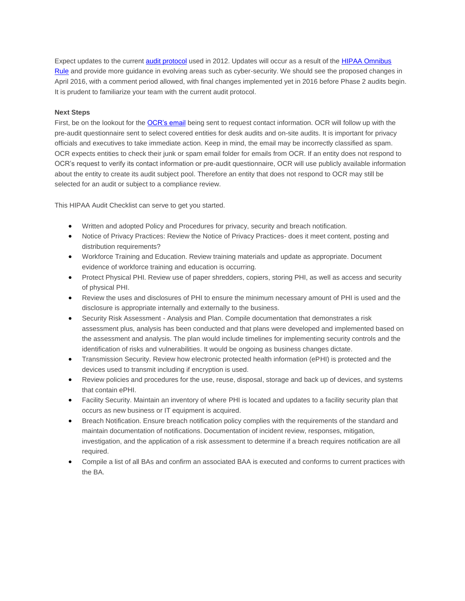Expect updates to the current [audit protocol](http://www.hhs.gov/hipaa/for-professionals/compliance-enforcement/audit/protocol-current/index.html?elqTrackId=CB2676B8D48DC9B36687D65C1BDA4FD6&elq=b517e2493eb94afdb887b186a34fccd1&elqaid=465&elqat=1&elqCampaignId=) used in 2012. Updates will occur as a result of the [HIPAA Omnibus](http://www.hhs.gov/hipaa/for-professionals/privacy/laws-regulations/combined-regulation-text/omnibus-hipaa-rulemaking/index.html?elqTrackId=99310F54DCC779008BB0B5D6A0BB7FE1&elq=b517e2493eb94afdb887b186a34fccd1&elqaid=465&elqat=1&elqCampaignId=)  [Rule](http://www.hhs.gov/hipaa/for-professionals/privacy/laws-regulations/combined-regulation-text/omnibus-hipaa-rulemaking/index.html?elqTrackId=99310F54DCC779008BB0B5D6A0BB7FE1&elq=b517e2493eb94afdb887b186a34fccd1&elqaid=465&elqat=1&elqCampaignId=) and provide more guidance in evolving areas such as cyber-security. We should see the proposed changes in April 2016, with a comment period allowed, with final changes implemented yet in 2016 before Phase 2 audits begin. It is prudent to familiarize your team with the current audit protocol.

#### **Next Steps**

First, be on the lookout for the [OCR's email](http://www.hhs.gov/hipaa/for-professionals/compliance-enforcement/audit/index.html?elqTrackId=FA1249A71C3270E1583CA964BBC2459E&elq=b517e2493eb94afdb887b186a34fccd1&elqaid=465&elqat=1&elqCampaignId=#when) being sent to request contact information. OCR will follow up with the pre-audit questionnaire sent to select covered entities for desk audits and on-site audits. It is important for privacy officials and executives to take immediate action. Keep in mind, the email may be incorrectly classified as spam. OCR expects entities to check their junk or spam email folder for emails from OCR. If an entity does not respond to OCR's request to verify its contact information or pre-audit questionnaire, OCR will use publicly available information about the entity to create its audit subject pool. Therefore an entity that does not respond to OCR may still be selected for an audit or subject to a compliance review.

This HIPAA Audit Checklist can serve to get you started.

- Written and adopted Policy and Procedures for privacy, security and breach notification.
- Notice of Privacy Practices: Review the Notice of Privacy Practices- does it meet content, posting and distribution requirements?
- Workforce Training and Education. Review training materials and update as appropriate. Document evidence of workforce training and education is occurring.
- Protect Physical PHI. Review use of paper shredders, copiers, storing PHI, as well as access and security of physical PHI.
- Review the uses and disclosures of PHI to ensure the minimum necessary amount of PHI is used and the disclosure is appropriate internally and externally to the business.
- Security Risk Assessment Analysis and Plan. Compile documentation that demonstrates a risk assessment plus, analysis has been conducted and that plans were developed and implemented based on the assessment and analysis. The plan would include timelines for implementing security controls and the identification of risks and vulnerabilities. It would be ongoing as business changes dictate.
- Transmission Security. Review how electronic protected health information (ePHI) is protected and the devices used to transmit including if encryption is used.
- Review policies and procedures for the use, reuse, disposal, storage and back up of devices, and systems that contain ePHI.
- Facility Security. Maintain an inventory of where PHI is located and updates to a facility security plan that occurs as new business or IT equipment is acquired.
- Breach Notification. Ensure breach notification policy complies with the requirements of the standard and maintain documentation of notifications. Documentation of incident review, responses, mitigation, investigation, and the application of a risk assessment to determine if a breach requires notification are all required.
- Compile a list of all BAs and confirm an associated BAA is executed and conforms to current practices with the BA.